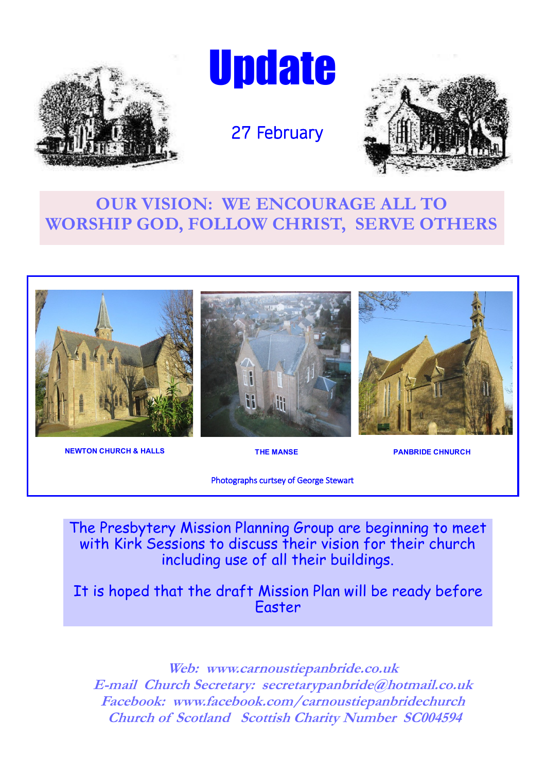

**Update** 





# **OUR VISION: WE ENCOURAGE ALL TO WORSHIP GOD, FOLLOW CHRIST, SERVE OTHERS**



**NEWTON CHURCH & HALLS THE MANSE RESIDENCE RESIDENCE RESIDENCE** 

Photographs curtsey of George Stewart

The Presbytery Mission Planning Group are beginning to meet with Kirk Sessions to discuss their vision for their church including use of all their buildings.

It is hoped that the draft Mission Plan will be ready before Easter

**Web: www.carnoustiepanbride.co.uk E-mail Church Secretary: secretarypanbride@hotmail.co.uk Facebook: www.facebook.com/carnoustiepanbridechurch Church of Scotland Scottish Charity Number SC004594**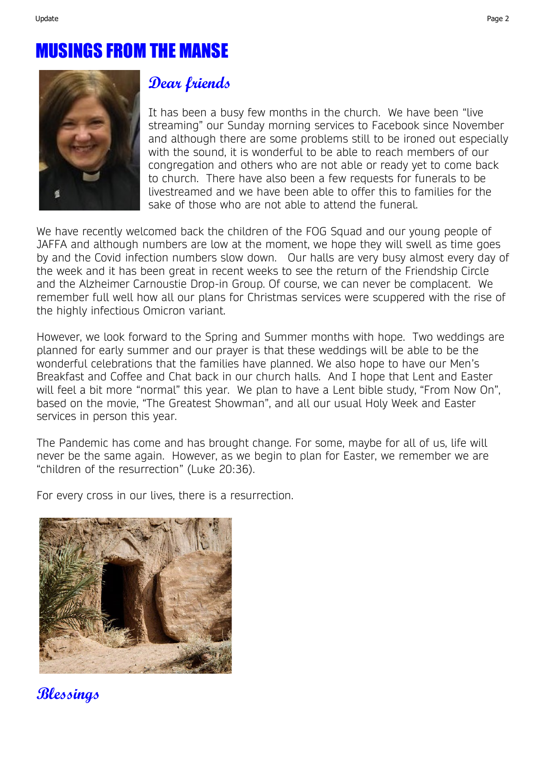# MUSINGS FROM THE MANSE



### **Dear friends**

It has been a busy few months in the church. We have been "live streaming" our Sunday morning services to Facebook since November and although there are some problems still to be ironed out especially with the sound, it is wonderful to be able to reach members of our congregation and others who are not able or ready yet to come back to church. There have also been a few requests for funerals to be livestreamed and we have been able to offer this to families for the sake of those who are not able to attend the funeral.

We have recently welcomed back the children of the FOG Squad and our young people of JAFFA and although numbers are low at the moment, we hope they will swell as time goes by and the Covid infection numbers slow down. Our halls are very busy almost every day of the week and it has been great in recent weeks to see the return of the Friendship Circle and the Alzheimer Carnoustie Drop-in Group. Of course, we can never be complacent. We remember full well how all our plans for Christmas services were scuppered with the rise of the highly infectious Omicron variant.

However, we look forward to the Spring and Summer months with hope. Two weddings are planned for early summer and our prayer is that these weddings will be able to be the wonderful celebrations that the families have planned. We also hope to have our Men's Breakfast and Coffee and Chat back in our church halls. And I hope that Lent and Easter will feel a bit more "normal" this year. We plan to have a Lent bible study, "From Now On", based on the movie, "The Greatest Showman", and all our usual Holy Week and Easter services in person this year.

The Pandemic has come and has brought change. For some, maybe for all of us, life will never be the same again. However, as we begin to plan for Easter, we remember we are "children of the resurrection" (Luke 20:36).

For every cross in our lives, there is a resurrection.



**Blessings**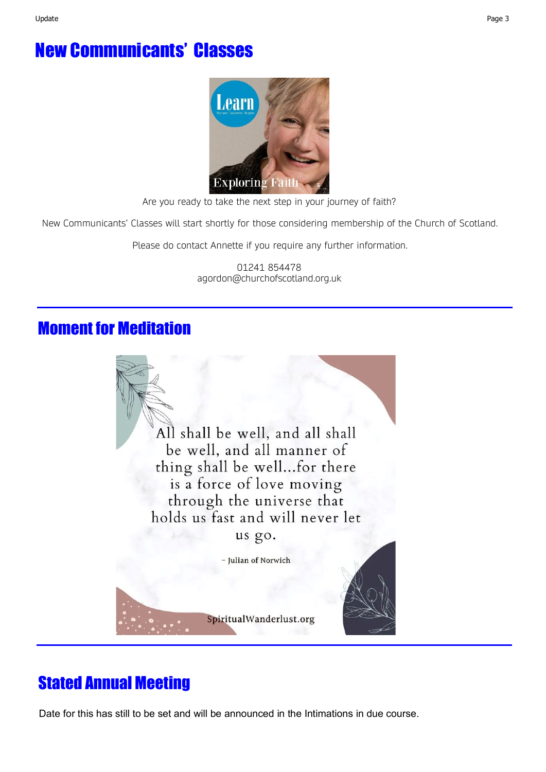# New Communicants' Classes



Are you ready to take the next step in your journey of faith?

New Communicants' Classes will start shortly for those considering membership of the Church of Scotland.

Please do contact Annette if you require any further information.

01241 854478 agordon@churchofscotland.org.uk

# Moment for Meditation



# Stated Annual Meeting

Date for this has still to be set and will be announced in the Intimations in due course.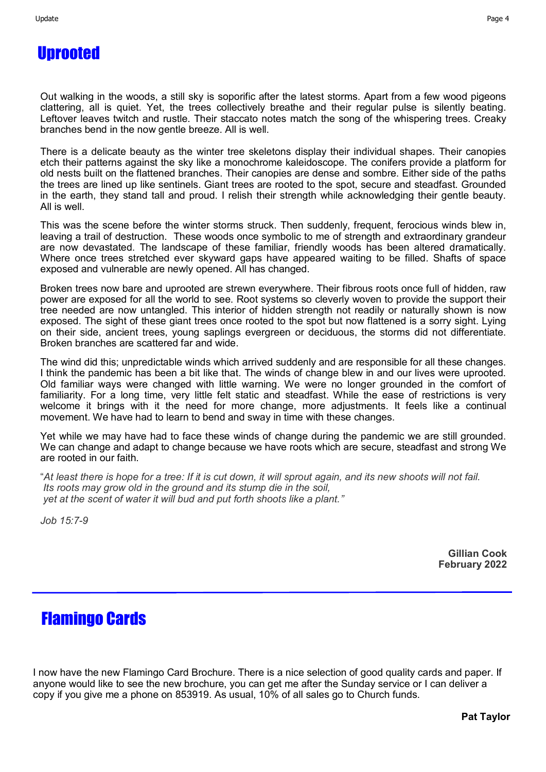Out walking in the woods, a still sky is soporific after the latest storms. Apart from a few wood pigeons clattering, all is quiet. Yet, the trees collectively breathe and their regular pulse is silently beating. Leftover leaves twitch and rustle. Their staccato notes match the song of the whispering trees. Creaky branches bend in the now gentle breeze. All is well.

There is a delicate beauty as the winter tree skeletons display their individual shapes. Their canopies etch their patterns against the sky like a monochrome kaleidoscope. The conifers provide a platform for old nests built on the flattened branches. Their canopies are dense and sombre. Either side of the paths the trees are lined up like sentinels. Giant trees are rooted to the spot, secure and steadfast. Grounded in the earth, they stand tall and proud. I relish their strength while acknowledging their gentle beauty. All is well.

This was the scene before the winter storms struck. Then suddenly, frequent, ferocious winds blew in, leaving a trail of destruction. These woods once symbolic to me of strength and extraordinary grandeur are now devastated. The landscape of these familiar, friendly woods has been altered dramatically. Where once trees stretched ever skyward gaps have appeared waiting to be filled. Shafts of space exposed and vulnerable are newly opened. All has changed.

Broken trees now bare and uprooted are strewn everywhere. Their fibrous roots once full of hidden, raw power are exposed for all the world to see. Root systems so cleverly woven to provide the support their tree needed are now untangled. This interior of hidden strength not readily or naturally shown is now exposed. The sight of these giant trees once rooted to the spot but now flattened is a sorry sight. Lying on their side, ancient trees, young saplings evergreen or deciduous, the storms did not differentiate. Broken branches are scattered far and wide.

The wind did this; unpredictable winds which arrived suddenly and are responsible for all these changes. I think the pandemic has been a bit like that. The winds of change blew in and our lives were uprooted. Old familiar ways were changed with little warning. We were no longer grounded in the comfort of familiarity. For a long time, very little felt static and steadfast. While the ease of restrictions is very welcome it brings with it the need for more change, more adjustments. It feels like a continual movement. We have had to learn to bend and sway in time with these changes.

Yet while we may have had to face these winds of change during the pandemic we are still grounded. We can change and adapt to change because we have roots which are secure, steadfast and strong We are rooted in our faith.

"*At least there is hope for a tree: If it is cut down, it will sprout again, and its new shoots will not fail. Its roots may grow old in the ground and its stump die in the soil, yet at the scent of water it will bud and put forth shoots like a plant."*

*Job 15:7-9*

**Gillian Cook February 2022**

## Flamingo Cards

I now have the new Flamingo Card Brochure. There is a nice selection of good quality cards and paper. If anyone would like to see the new brochure, you can get me after the Sunday service or I can deliver a copy if you give me a phone on 853919. As usual, 10% of all sales go to Church funds.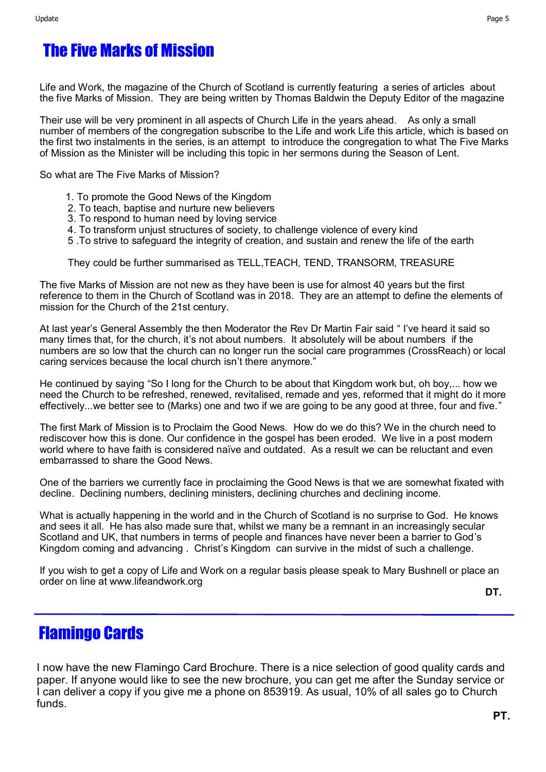# The Five Marks of Mission

Life and Work, the magazine of the Church of Scotland is currently featuring a series of articles about the five Marks of Mission. They are being written by Thomas Baldwin the Deputy Editor of the magazine

Their use will be very prominent in all aspects of Church Life in the years ahead. As only a small number of members of the congregation subscribe to the Life and work Life this article, which is based on the first two instalments in the series, is an attempt to introduce the congregation to what The Five Marks of Mission as the Minister will be including this topic in her sermons during the Season of Lent.

So what are The Five Marks of Mission?

- 1. To promote the Good News of the Kingdom
- 2. To teach, baptise and nurture new believers
- 3. To respond to human need by loving service
- 4. To transform unjust structures of society, to challenge violence of every kind
- 5 .To strive to safeguard the integrity of creation, and sustain and renew the life of the earth

They could be further summarised as TELL,TEACH, TEND, TRANSORM, TREASURE

The five Marks of Mission are not new as they have been is use for almost 40 years but the first reference to them in the Church of Scotland was in 2018. They are an attempt to define the elements of mission for the Church of the 21st century.

At last year's General Assembly the then Moderator the Rev Dr Martin Fair said " I've heard it said so many times that, for the church, it's not about numbers. It absolutely will be about numbers if the numbers are so low that the church can no longer run the social care programmes (CrossReach) or local caring services because the local church isn't there anymore."

He continued by saying "So I long for the Church to be about that Kingdom work but, oh boy,... how we need the Church to be refreshed, renewed, revitalised, remade and yes, reformed that it might do it more effectively...we better see to (Marks) one and two if we are going to be any good at three, four and five."

The first Mark of Mission is to Proclaim the Good News. How do we do this? We in the church need to rediscover how this is done. Our confidence in the gospel has been eroded. We live in a post modern world where to have faith is considered naïve and outdated. As a result we can be reluctant and even embarrassed to share the Good News.

One of the barriers we currently face in proclaiming the Good News is that we are somewhat fixated with decline. Declining numbers, declining ministers, declining churches and declining income.

What is actually happening in the world and in the Church of Scotland is no surprise to God. He knows and sees it all. He has also made sure that, whilst we many be a remnant in an increasingly secular Scotland and UK, that numbers in terms of people and finances have never been a barrier to God's Kingdom coming and advancing . Christ's Kingdom can survive in the midst of such a challenge.

If you wish to get a copy of Life and Work on a regular basis please speak to Mary Bushnell or place an order on line at www.lifeandwork.org

**DT.**

## Flamingo Cards

I now have the new Flamingo Card Brochure. There is a nice selection of good quality cards and paper. If anyone would like to see the new brochure, you can get me after the Sunday service or I can deliver a copy if you give me a phone on 853919. As usual, 10% of all sales go to Church funds.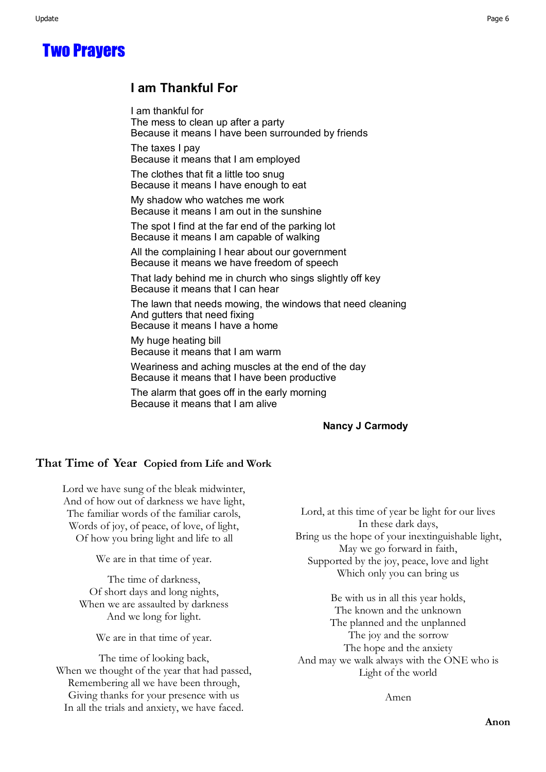Two Prayers

#### **I am Thankful For**

I am thankful for The mess to clean up after a party Because it means I have been surrounded by friends

The taxes I pay Because it means that I am employed

The clothes that fit a little too snug Because it means I have enough to eat

My shadow who watches me work Because it means I am out in the sunshine

The spot I find at the far end of the parking lot Because it means I am capable of walking

All the complaining I hear about our government Because it means we have freedom of speech

That lady behind me in church who sings slightly off key Because it means that I can hear

The lawn that needs mowing, the windows that need cleaning And gutters that need fixing Because it means I have a home

My huge heating bill Because it means that I am warm

Weariness and aching muscles at the end of the day Because it means that I have been productive

The alarm that goes off in the early morning Because it means that I am alive

#### **Nancy J Carmody**

#### **That Time of Year Copied from Life and Work**

Lord we have sung of the bleak midwinter, And of how out of darkness we have light, The familiar words of the familiar carols, Words of joy, of peace, of love, of light, Of how you bring light and life to all

We are in that time of year.

The time of darkness, Of short days and long nights, When we are assaulted by darkness And we long for light.

We are in that time of year.

The time of looking back, When we thought of the year that had passed, Remembering all we have been through, Giving thanks for your presence with us In all the trials and anxiety, we have faced.

Lord, at this time of year be light for our lives In these dark days, Bring us the hope of your inextinguishable light, May we go forward in faith, Supported by the joy, peace, love and light Which only you can bring us

Be with us in all this year holds, The known and the unknown The planned and the unplanned The joy and the sorrow The hope and the anxiety And may we walk always with the ONE who is Light of the world

Amen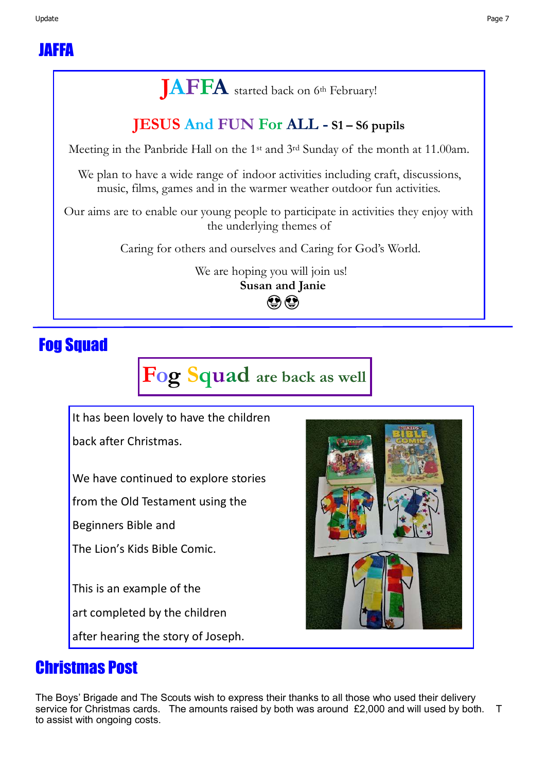# **JAFFA** started back on 6th February!

# **JESUS And FUN For ALL - S1 – S6 pupils**

Meeting in the Panbride Hall on the 1st and 3rd Sunday of the month at 11.00am.

We plan to have a wide range of indoor activities including craft, discussions, music, films, games and in the warmer weather outdoor fun activities.

Our aims are to enable our young people to participate in activities they enjoy with the underlying themes of

Caring for others and ourselves and Caring for God's World.

We are hoping you will join us! **Susan and Janie**   $\bigcirc$ 

# Fog Squad

**Fog Squad are back as well** 

It has been lovely to have the children

back after Christmas.

We have continued to explore stories

from the Old Testament using the

Beginners Bible and

The Lion's Kids Bible Comic.

This is an example of the

art completed by the children

after hearing the story of Joseph.

## Christmas Post

The Boys' Brigade and The Scouts wish to express their thanks to all those who used their delivery service for Christmas cards. The amounts raised by both was around £2,000 and will used by both. T to assist with ongoing costs.

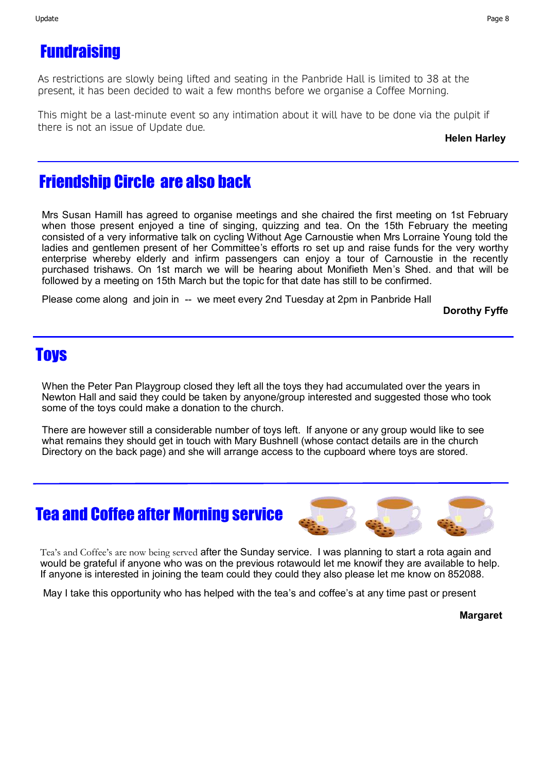# **Fundraising**

As restrictions are slowly being lifted and seating in the Panbride Hall is limited to 38 at the present, it has been decided to wait a few months before we organise a Coffee Morning.

This might be a last-minute event so any intimation about it will have to be done via the pulpit if there is not an issue of Update due.

#### **Helen Harley**

## Friendship Circle are also back

Mrs Susan Hamill has agreed to organise meetings and she chaired the first meeting on 1st February when those present enjoyed a tine of singing, quizzing and tea. On the 15th February the meeting consisted of a very informative talk on cycling Without Age Carnoustie when Mrs Lorraine Young told the ladies and gentlemen present of her Committee's efforts ro set up and raise funds for the very worthy enterprise whereby elderly and infirm passengers can enjoy a tour of Carnoustie in the recently purchased trishaws. On 1st march we will be hearing about Monifieth Men's Shed. and that will be followed by a meeting on 15th March but the topic for that date has still to be confirmed.

Please come along and join in -- we meet every 2nd Tuesday at 2pm in Panbride Hall

**Dorothy Fyffe**

### **Toys**

When the Peter Pan Playgroup closed they left all the toys they had accumulated over the years in Newton Hall and said they could be taken by anyone/group interested and suggested those who took some of the toys could make a donation to the church.

There are however still a considerable number of toys left. If anyone or any group would like to see what remains they should get in touch with Mary Bushnell (whose contact details are in the church Directory on the back page) and she will arrange access to the cupboard where toys are stored.

### Tea and Coffee after Morning service



Tea's and Coffee's are now being served after the Sunday service. I was planning to start a rota again and would be grateful if anyone who was on the previous rotawould let me knowif they are available to help. If anyone is interested in joining the team could they could they also please let me know on 852088.

May I take this opportunity who has helped with the tea's and coffee's at any time past or present

**Margaret**